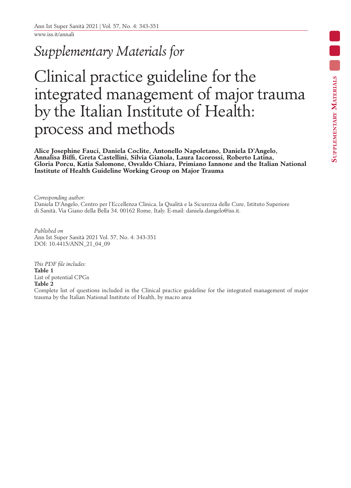www.iss.it/annali

## *Supplementary Materials for*

# Clinical practice guideline for the integrated management of major trauma by the Italian Institute of Health: process and methods

**Alice Josephine Fauci, Daniela Coclite, Antonello Napoletano, Daniela D'Angelo, Annalisa Biffi, Greta Castellini, Silvia Gianola, Laura Iacorossi, Roberto Latina, Gloria Porcu, Katia Salomone, Osvaldo Chiara, Primiano Iannone and the Italian National Institute of Health Guideline Working Group on Major Trauma**

*Corresponding author*: Daniela D'Angelo, Centro per l'Eccellenza Clinica, la Qualità e la Sicurezza delle Cure, Istituto Superiore di Sanità, Via Giano della Bella 34, 00162 Rome, Italy. E-mail: daniela.dangelo@iss.it.

*Published on* Ann Ist Super Sanità 2021 Vol. 57, No. 4: 343-351 DOI: 10.4415/ANN\_21\_04\_09

*This PDF file includes:* **Table 1** List of potential CPGs **Table 2**

Complete list of questions included in the Clinical practice guideline for the integrated management of major trauma by the Italian National Institute of Health, by macro area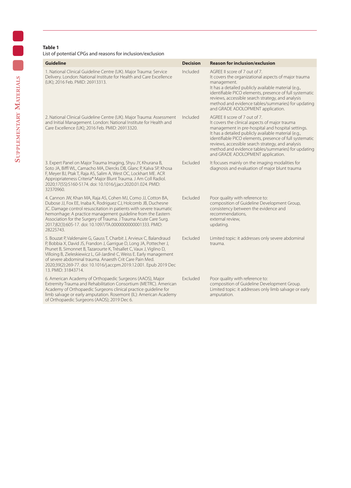#### **Table 1**

#### List of potential CPGs and reasons for inclusion/exclusion

| <b>Guideline</b>                                                                                                                                                                                                                                                                                                                                                                                                                                    | <b>Decision</b> | <b>Reason for inclusion/exclusion</b>                                                                                                                                                                                                                                                                                                                                                                   |
|-----------------------------------------------------------------------------------------------------------------------------------------------------------------------------------------------------------------------------------------------------------------------------------------------------------------------------------------------------------------------------------------------------------------------------------------------------|-----------------|---------------------------------------------------------------------------------------------------------------------------------------------------------------------------------------------------------------------------------------------------------------------------------------------------------------------------------------------------------------------------------------------------------|
| 1. National Clinical Guideline Centre (UK). Major Trauma: Service<br>Delivery. London: National Institute for Health and Care Excellence<br>(UK); 2016 Feb. PMID: 26913313.                                                                                                                                                                                                                                                                         | Included        | AGREE II score of 7 out of 7.<br>It covers the organizational aspects of major trauma<br>management.<br>It has a detailed publicly available material (e.g.,<br>identifiable PICO elements, presence of full systematic<br>reviews, accessible search strategy, and analysis<br>method and evidence tables/summaries) for updating<br>and GRADE ADOLOPMENT application.                                 |
| 2. National Clinical Guideline Centre (UK). Major Trauma: Assessment<br>and Initial Management. London: National Institute for Health and<br>Care Excellence (UK); 2016 Feb. PMID: 26913320.                                                                                                                                                                                                                                                        | Included        | AGREE II score of 7 out of 7.<br>It covers the clinical aspects of major trauma<br>management in pre-hospital and hospital settings.<br>It has a detailed publicly available material (e.g.,<br>identifiable PICO elements, presence of full systematic<br>reviews, accessible search strategy, and analysis<br>method and evidence tables/summaries) for updating<br>and GRADE ADOLOPMENT application. |
| 3. Expert Panel on Major Trauma Imaging, Shyu JY, Khurana B,<br>Soto JA, Biffl WL, Camacho MA, Diercks DB, Glanc P, Kalva SP, Khosa<br>F, Meyer BJ, Ptak T, Raja AS, Salim A, West OC, Lockhart ME. ACR<br>Appropriateness Criteria® Major Blunt Trauma. J Am Coll Radiol.<br>2020;17(5S):S160-S174. doi: 10.1016/j.jacr.2020.01.024. PMID:<br>32370960.                                                                                            | Excluded        | It focuses mainly on the imaging modalities for<br>diagnosis and evaluation of major blunt trauma                                                                                                                                                                                                                                                                                                       |
| 4. Cannon JW, Khan MA, Raja AS, Cohen MJ, Como JJ, Cotton BA,<br>Dubose JJ, Fox EE, Inaba K, Rodriguez CJ, Holcomb JB, Duchesne<br>JC. Damage control resuscitation in patients with severe traumatic<br>hemorrhage: A practice management quideline from the Eastern<br>Association for the Surgery of Trauma. J Trauma Acute Care Surg.<br>2017;82(3):605-17. doi: 10.1097/TA.0000000000001333. PMID:<br>28225743.                                | <b>Fxcluded</b> | Poor quality with reference to:<br>composition of Guideline Development Group,<br>consistency between the evidence and<br>recommendations,<br>external review,<br>updating.                                                                                                                                                                                                                             |
| 5. Bouzat P, Valdenaire G, Gauss T, Charbit J, Arvieux C, Balandraud<br>P, Bobbia X, David JS, Frandon J, Garrique D, Long JA, Pottecher J,<br>Prunet B, Simonnet B, Tazarourte K, Trésallet C, Vaux J, Viglino D,<br>Villoing B, Zieleskiewicz L, Gil-Jardiné C, Weiss E. Early management<br>of severe abdominal trauma. Anaesth Crit Care Pain Med.<br>2020;39(2):269-77. doi: 10.1016/j.accpm.2019.12.001. Epub 2019 Dec<br>13. PMID: 31843714. | <b>Fxcluded</b> | Limited topic: it addresses only severe abdominal<br>trauma.                                                                                                                                                                                                                                                                                                                                            |
| 6. American Academy of Orthopaedic Surgeons (AAOS), Major<br>Extremity Trauma and Rehabilitation Consortium (METRC). American<br>Academy of Orthopaedic Surgeons clinical practice guideline for<br>limb salvage or early amputation. Rosemont (IL): American Academy<br>of Orthopaedic Surgeons (AAOS); 2019 Dec 6.                                                                                                                                | Excluded        | Poor quality with reference to:<br>composition of Guideline Development Group.<br>Limited topic: it addresses only limb salvage or early<br>amputation.                                                                                                                                                                                                                                                 |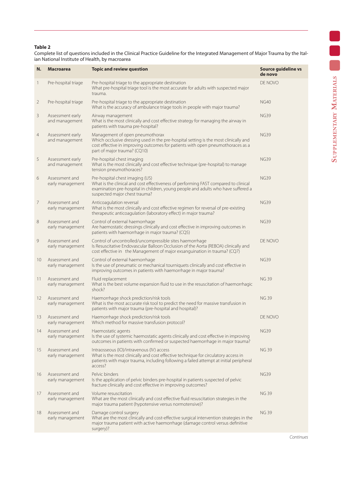## **Table 2**

Complete list of questions included in the Clinical Practice Guideline for the Integrated Management of Major Trauma by the Italian National Institute of Health, by macroarea

| N.             | <b>Macroarea</b>                   | <b>Topic and review question</b>                                                                                                                                                                                                             | Source quideline vs<br>de novo |
|----------------|------------------------------------|----------------------------------------------------------------------------------------------------------------------------------------------------------------------------------------------------------------------------------------------|--------------------------------|
| 1              | Pre-hospital triage                | Pre-hospital triage to the appropriate destination<br>What pre-hospital triage tool is the most accurate for adults with suspected major<br>trauma.                                                                                          | DE NOVO                        |
| $\overline{2}$ | Pre-hospital triage                | Pre-hospital triage to the appropriate destination<br>What is the accuracy of ambulance triage tools in people with major trauma?                                                                                                            | <b>NG40</b>                    |
| 3              | Assessment early<br>and management | Airway management<br>What is the most clinically and cost effective strategy for managing the airway in<br>patients with trauma pre-hospital?                                                                                                | <b>NG39</b>                    |
| $\overline{4}$ | Assessment early<br>and management | Management of open pneumothorax<br>Which occlusive dressing used in the pre-hospital setting is the most clinically and<br>cost effective in improving outcomes for patients with open pneumothoraces as a<br>part of major trauma? (CQ10)   | <b>NG39</b>                    |
| 5              | Assessment early<br>and management | Pre-hospital chest imaging<br>What is the most clinically and cost effective technique (pre-hospital) to manage<br>tension pneumothoraces?                                                                                                   | <b>NG39</b>                    |
| 6              | Assessment and<br>early management | Pre-hospital chest imaging (US)<br>What is the clinical and cost effectiveness of performing FAST compared to clinical<br>examination pre-hospital in children, young people and adults who have suffered a<br>suspected major chest trauma? | <b>NG39</b>                    |
| 7              | Assessment and<br>early management | Anticoagulation reversal<br>What is the most clinically and cost effective regimen for reversal of pre-existing<br>therapeutic anticoagulation (laboratory effect) in major trauma?                                                          | <b>NG39</b>                    |
| 8              | Assessment and<br>early management | Control of external haemorrhage<br>Are haemostatic dressings clinically and cost effective in improving outcomes in<br>patients with haemorrhage in major trauma? (CQ5)                                                                      | <b>NG39</b>                    |
| 9              | Assessment and<br>early management | Control of uncontrolled/uncompressible sites haemorrhage<br>Is Resuscitative Endovascular Balloon Occlusion of the Aorta (REBOA) clinically and<br>cost effective in the Management of major exsanguination in trauma? (CQ7)                 | DE NOVO                        |
| 10             | Assessment and<br>early management | Control of external haemorrhage<br>Is the use of pneumatic or mechanical tourniquets clinically and cost effective in<br>improving outcomes in patients with haemorrhage in major trauma?                                                    | <b>NG39</b>                    |
| 11             | Assessment and<br>early management | Fluid replacement<br>What is the best volume expansion fluid to use in the resuscitation of haemorrhagic<br>shock?                                                                                                                           | <b>NG 39</b>                   |
| 12             | Assessment and<br>early management | Haemorrhage shock prediction/risk tools<br>What is the most accurate risk tool to predict the need for massive transfusion in<br>patients with major trauma (pre-hospital and hospital)?                                                     | <b>NG 39</b>                   |
| 13             | Assessment and<br>early management | Haemorrhage shock prediction/risk tools<br>Which method for massive transfusion protocol?                                                                                                                                                    | DE NOVO                        |
| 14             | Assessment and<br>early management | Haemostatic agents<br>Is the use of systemic haemostatic agents clinically and cost effective in improving<br>outcomes in patients with confirmed or suspected haemorrhage in major trauma?                                                  | <b>NG39</b>                    |
| 15             | Assessment and<br>early management | Intraosseous (IO)/intravenous (IV) access<br>What is the most clinically and cost effective technique for circulatory access in<br>patients with major trauma, including following a failed attempt at initial peripheral<br>access?         | <b>NG 39</b>                   |
| 16             | Assessment and<br>early management | Pelvic binders<br>Is the application of pelvic binders pre-hospital in patients suspected of pelvic<br>fracture clinically and cost effective in improving outcomes?                                                                         | <b>NG39</b>                    |
| 17             | Assessment and<br>early management | Volume resuscitation<br>What are the most clinically and cost effective fluid resuscitation strategies in the<br>major trauma patient (hypotensive versus normotensive)?                                                                     | <b>NG 39</b>                   |
| 18             | Assessment and<br>early management | Damage control surgery<br>What are the most clinically and cost-effective surgical intervention strategies in the<br>major trauma patient with active haemorrhage (damage control versus definitive<br>surgery)?                             | <b>NG 39</b>                   |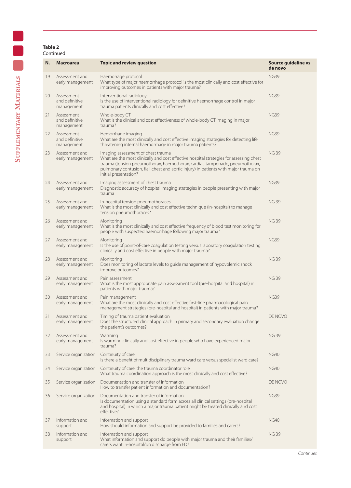## **Table 2** Continued

| N. | <b>Macroarea</b>                           | <b>Topic and review question</b>                                                                                                                                                                                                                                                                                              | Source guideline vs<br>de novo |
|----|--------------------------------------------|-------------------------------------------------------------------------------------------------------------------------------------------------------------------------------------------------------------------------------------------------------------------------------------------------------------------------------|--------------------------------|
| 19 | Assessment and<br>early management         | Haemorrage protocol<br>What type of major haemorrhage protocol is the most clinically and cost effective for<br>improving outcomes in patients with major trauma?                                                                                                                                                             | <b>NG39</b>                    |
| 20 | Assessment<br>and definitive<br>management | Interventional radiology<br>Is the use of interventional radiology for definitive haemorrhage control in major<br>trauma patients clinically and cost effective?                                                                                                                                                              | <b>NG39</b>                    |
| 21 | Assessment<br>and definitive<br>management | Whole-body CT<br>What is the clinical and cost effectiveness of whole-body CT imaging in major<br>trauma?                                                                                                                                                                                                                     | <b>NG39</b>                    |
| 22 | Assessment<br>and definitive<br>management | Hemorrhage imaging<br>What are the most clinically and cost effective imaging strategies for detecting life<br>threatening internal haemorrhage in major trauma patients?                                                                                                                                                     | <b>NG39</b>                    |
| 23 | Assessment and<br>early management         | Imaging assessment of chest trauma<br>What are the most clinically and cost effective hospital strategies for assessing chest<br>trauma (tension pneumothorax, haemothorax, cardiac tamponade, pneumothorax,<br>pulmonary contusion, flail chest and aortic injury) in patients with major trauma on<br>initial presentation? | <b>NG 39</b>                   |
| 24 | Assessment and<br>early management         | Imaging assessment of chest trauma<br>Diagnostic accuracy of hospital imaging strategies in people presenting with major<br>trauma                                                                                                                                                                                            | <b>NG39</b>                    |
| 25 | Assessment and<br>early management         | In-hospital tension pneumothoraces<br>What is the most clinically and cost effective technique (in-hospital) to manage<br>tension pneumothoraces?                                                                                                                                                                             | <b>NG39</b>                    |
| 26 | Assessment and<br>early management         | Monitoring<br>What is the most clinically and cost effective frequency of blood test monitoring for<br>people with suspected haemorrhage following major trauma?                                                                                                                                                              | <b>NG39</b>                    |
| 27 | Assessment and<br>early management         | Monitoring<br>Is the use of point-of-care coagulation testing versus laboratory coagulation testing<br>clinically and cost effective in people with major trauma?                                                                                                                                                             | <b>NG39</b>                    |
| 28 | Assessment and<br>early management         | Monitoring<br>Does monitoring of lactate levels to guide management of hypovolemic shock<br>improve outcomes?                                                                                                                                                                                                                 | <b>NG39</b>                    |
| 29 | Assessment and<br>early management         | Pain assessment<br>What is the most appropriate pain assessment tool (pre-hospital and hospital) in<br>patients with major trauma?                                                                                                                                                                                            | <b>NG39</b>                    |
| 30 | Assessment and<br>early management         | Pain management<br>What are the most clinically and cost effective first-line pharmacological pain<br>management strategies (pre-hospital and hospital) in patients with major trauma?                                                                                                                                        | <b>NG39</b>                    |
| 31 | Assessment and<br>early management         | Timing of trauma patient evaluation<br>Does the structured clinical approach in primary and secondary evaluation change<br>the patient's outcomes?                                                                                                                                                                            | DE NOVO                        |
| 32 | Assessment and<br>early management         | Warming<br>Is warming clinically and cost effective in people who have experienced major<br>trauma?                                                                                                                                                                                                                           | <b>NG39</b>                    |
| 33 | Service organization                       | Continuity of care<br>Is there a benefit of multidisciplinary trauma ward care versus specialist ward care?                                                                                                                                                                                                                   | <b>NG40</b>                    |
| 34 | Service organization                       | Continuity of care: the trauma coordinator role<br>What trauma coordination approach is the most clinically and cost effective?                                                                                                                                                                                               | <b>NG40</b>                    |
| 35 | Service organization                       | Documentation and transfer of information<br>How to transfer patient information and documentation?                                                                                                                                                                                                                           | DE NOVO                        |
| 36 | Service organization                       | Documentation and transfer of information<br>Is documentation using a standard form across all clinical settings (pre-hospital<br>and hospital) in which a major trauma patient might be treated clinically and cost<br>effective?                                                                                            | <b>NG39</b>                    |
| 37 | Information and<br>support                 | Information and support<br>How should information and support be provided to families and carers?                                                                                                                                                                                                                             | <b>NG40</b>                    |
| 38 | Information and<br>support                 | Information and support<br>What information and support do people with major trauma and their families/<br>carers want in-hospital/on discharge from ED?                                                                                                                                                                      | <b>NG39</b>                    |